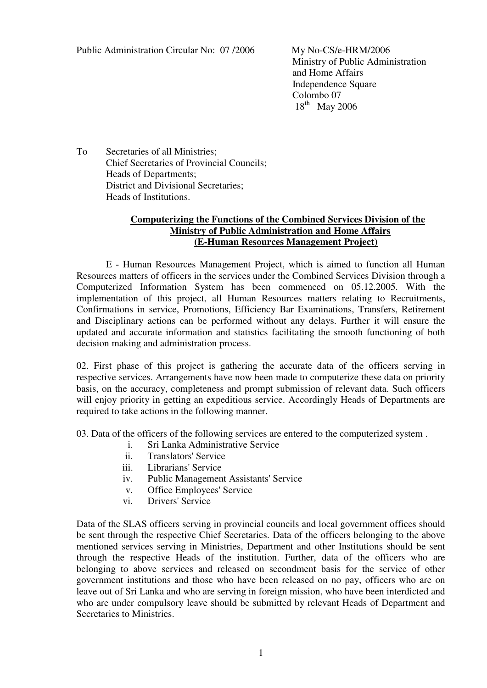Ministry of Public Administration and Home Affairs Independence Square Colombo 07  $18<sup>th</sup>$  May 2006

To Secretaries of all Ministries; Chief Secretaries of Provincial Councils; Heads of Departments; District and Divisional Secretaries; Heads of Institutions.

## **Computerizing the Functions of the Combined Services Division of the Ministry of Public Administration and Home Affairs (E-Human Resources Management Project)**

 E - Human Resources Management Project, which is aimed to function all Human Resources matters of officers in the services under the Combined Services Division through a Computerized Information System has been commenced on 05.12.2005. With the implementation of this project, all Human Resources matters relating to Recruitments, Confirmations in service, Promotions, Efficiency Bar Examinations, Transfers, Retirement and Disciplinary actions can be performed without any delays. Further it will ensure the updated and accurate information and statistics facilitating the smooth functioning of both decision making and administration process.

02. First phase of this project is gathering the accurate data of the officers serving in respective services. Arrangements have now been made to computerize these data on priority basis, on the accuracy, completeness and prompt submission of relevant data. Such officers will enjoy priority in getting an expeditious service. Accordingly Heads of Departments are required to take actions in the following manner.

03. Data of the officers of the following services are entered to the computerized system .

- i. Sri Lanka Administrative Service
- ii. Translators' Service
- iii. Librarians' Service
- iv. Public Management Assistants' Service
- v. Office Employees' Service
- vi. Drivers' Service

Data of the SLAS officers serving in provincial councils and local government offices should be sent through the respective Chief Secretaries. Data of the officers belonging to the above mentioned services serving in Ministries, Department and other Institutions should be sent through the respective Heads of the institution. Further, data of the officers who are belonging to above services and released on secondment basis for the service of other government institutions and those who have been released on no pay, officers who are on leave out of Sri Lanka and who are serving in foreign mission, who have been interdicted and who are under compulsory leave should be submitted by relevant Heads of Department and Secretaries to Ministries.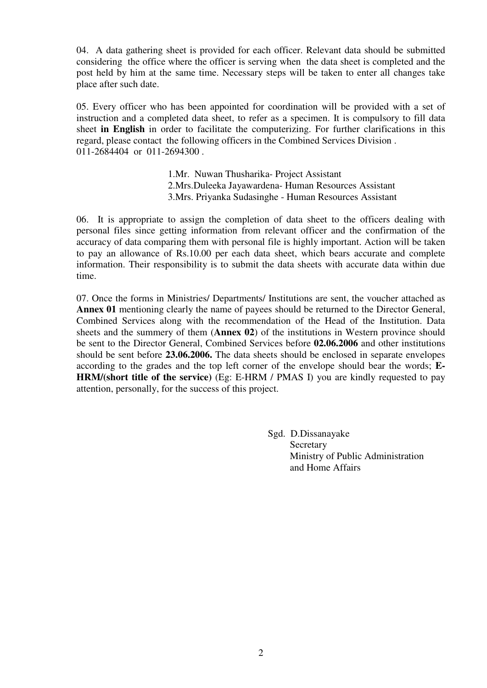04. A data gathering sheet is provided for each officer. Relevant data should be submitted considering the office where the officer is serving when the data sheet is completed and the post held by him at the same time. Necessary steps will be taken to enter all changes take place after such date.

05. Every officer who has been appointed for coordination will be provided with a set of instruction and a completed data sheet, to refer as a specimen. It is compulsory to fill data sheet **in English** in order to facilitate the computerizing. For further clarifications in this regard, please contact the following officers in the Combined Services Division . 011-2684404 or 011-2694300 .

> 1.Mr. Nuwan Thusharika- Project Assistant 2.Mrs.Duleeka Jayawardena- Human Resources Assistant 3.Mrs. Priyanka Sudasinghe - Human Resources Assistant

06. It is appropriate to assign the completion of data sheet to the officers dealing with personal files since getting information from relevant officer and the confirmation of the accuracy of data comparing them with personal file is highly important. Action will be taken to pay an allowance of Rs.10.00 per each data sheet, which bears accurate and complete information. Their responsibility is to submit the data sheets with accurate data within due time.

07. Once the forms in Ministries/ Departments/ Institutions are sent, the voucher attached as **Annex 01** mentioning clearly the name of payees should be returned to the Director General, Combined Services along with the recommendation of the Head of the Institution. Data sheets and the summery of them (**Annex 02**) of the institutions in Western province should be sent to the Director General, Combined Services before **02.06.2006** and other institutions should be sent before **23.06.2006.** The data sheets should be enclosed in separate envelopes according to the grades and the top left corner of the envelope should bear the words; **E-HRM/(short title of the service)** (Eg: E-HRM / PMAS I) you are kindly requested to pay attention, personally, for the success of this project.

> Sgd. D.Dissanayake **Secretary**  Ministry of Public Administration and Home Affairs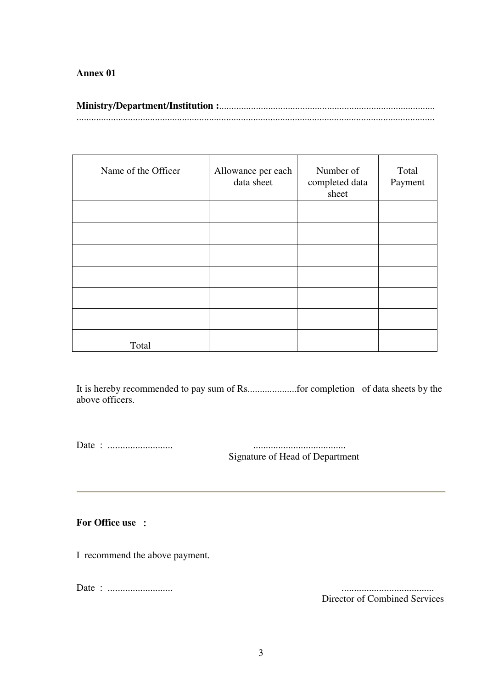# **Annex 01**

| Name of the Officer | Allowance per each<br>data sheet | Number of<br>completed data<br>sheet | Total<br>Payment |
|---------------------|----------------------------------|--------------------------------------|------------------|
|                     |                                  |                                      |                  |
|                     |                                  |                                      |                  |
|                     |                                  |                                      |                  |
|                     |                                  |                                      |                  |
|                     |                                  |                                      |                  |
|                     |                                  |                                      |                  |
| Total               |                                  |                                      |                  |

It is hereby recommended to pay sum of Rs....................for completion of data sheets by the above officers.

Date : .......................... .....................................

Signature of Head of Department

### **For Office use** :

I recommend the above payment.

Date : .......................... .....................................

Director of Combined Services